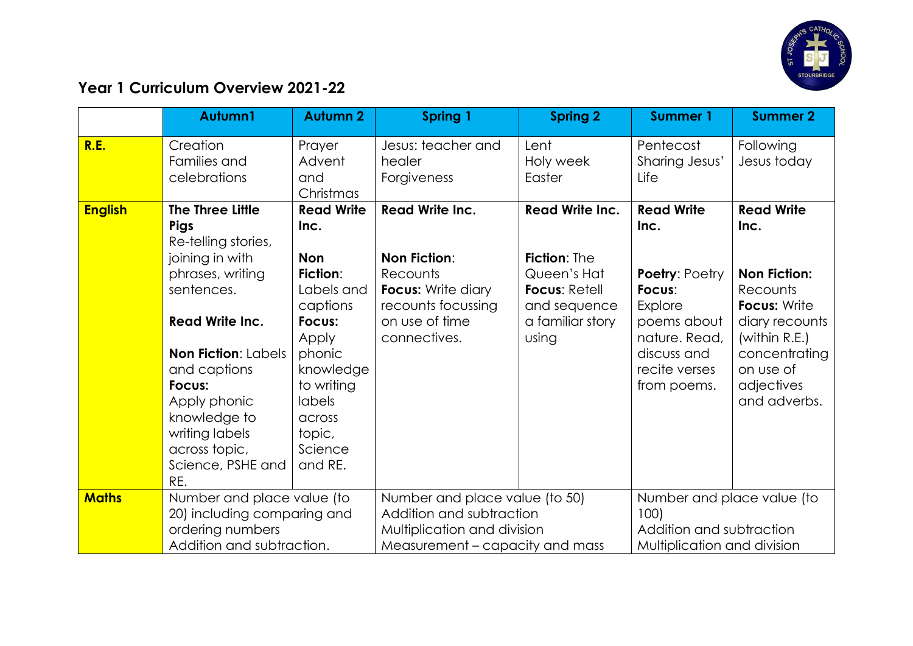

## **Year 1 Curriculum Overview 2021-22**

|                | Autumn1                                                                     | <b>Autumn 2</b>                                         | <b>Spring 1</b>                                                                    | <b>Spring 2</b>                                                     | <b>Summer 1</b>                                         | <b>Summer 2</b>                                        |
|----------------|-----------------------------------------------------------------------------|---------------------------------------------------------|------------------------------------------------------------------------------------|---------------------------------------------------------------------|---------------------------------------------------------|--------------------------------------------------------|
| R.E.           | Creation<br>Families and<br>celebrations                                    | Prayer<br>Advent<br>and<br>Christmas                    | Jesus: teacher and<br>healer<br>Forgiveness                                        | Lent<br>Holy week<br>Easter                                         | Pentecost<br>Sharing Jesus'<br>Life                     | Following<br>Jesus today                               |
| <b>English</b> | The Three Little<br><b>Pigs</b><br>Re-telling stories,                      | <b>Read Write</b><br>Inc.                               | <b>Read Write Inc.</b>                                                             | <b>Read Write Inc.</b>                                              | <b>Read Write</b><br>Inc.                               | <b>Read Write</b><br>Inc.                              |
|                | joining in with<br>phrases, writing<br>sentences.                           | <b>Non</b><br><b>Fiction:</b><br>Labels and<br>captions | <b>Non Fiction:</b><br>Recounts<br><b>Focus:</b> Write diary<br>recounts focussing | Fiction: The<br>Queen's Hat<br><b>Focus: Retell</b><br>and sequence | <b>Poetry: Poetry</b><br>Focus:<br>Explore              | <b>Non Fiction:</b><br>Recounts<br><b>Focus: Write</b> |
|                | <b>Read Write Inc.</b><br><b>Non Fiction: Labels</b>                        | Focus:<br>Apply<br>phonic                               | on use of time<br>connectives.                                                     | a familiar story<br>using                                           | poems about<br>nature. Read,<br>discuss and             | diary recounts<br>(within R.E.)<br>concentrating       |
|                | and captions<br>Focus:<br>Apply phonic                                      | knowledge<br>to writing<br><b>labels</b>                |                                                                                    |                                                                     | recite verses<br>from poems.                            | on use of<br>adjectives<br>and adverbs.                |
|                | knowledge to<br>writing labels<br>across topic,<br>Science, PSHE and<br>RE. | across<br>topic,<br>Science<br>and RE.                  |                                                                                    |                                                                     |                                                         |                                                        |
| <b>Maths</b>   | Number and place value (to<br>20) including comparing and                   |                                                         | Number and place value (to 50)<br>Addition and subtraction                         |                                                                     | Number and place value (to<br>100                       |                                                        |
|                | ordering numbers<br>Addition and subtraction.                               |                                                         | Multiplication and division<br>Measurement – capacity and mass                     |                                                                     | Addition and subtraction<br>Multiplication and division |                                                        |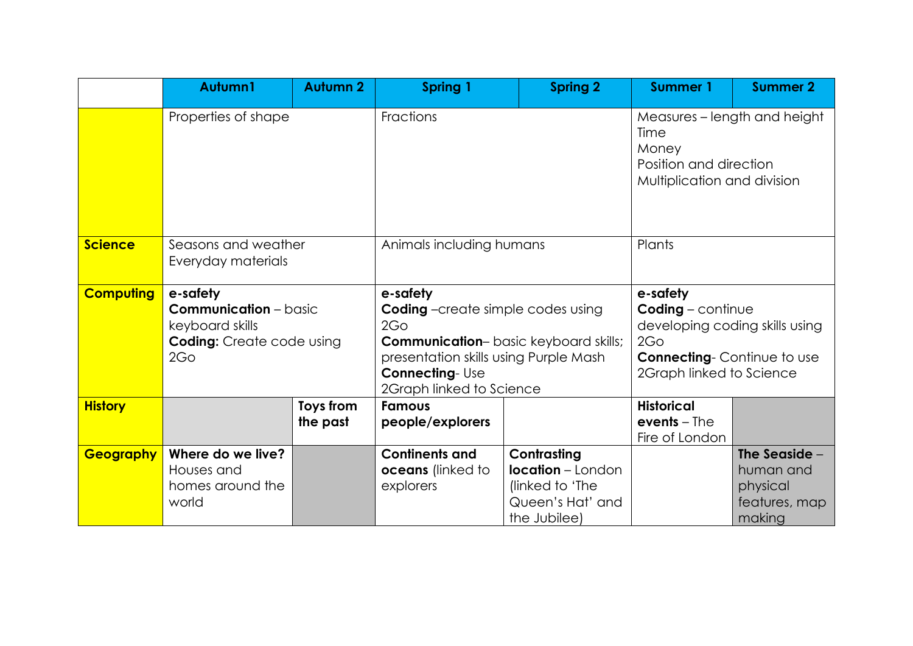|                  | Autumn1                                                                                                | <b>Autumn 2</b>       | <b>Spring 1</b>                                                                                                                                                                                                       | <b>Spring 2</b>                                                                                | <b>Summer 1</b>                                                                                                                                              | <b>Summer 2</b>                                                   |
|------------------|--------------------------------------------------------------------------------------------------------|-----------------------|-----------------------------------------------------------------------------------------------------------------------------------------------------------------------------------------------------------------------|------------------------------------------------------------------------------------------------|--------------------------------------------------------------------------------------------------------------------------------------------------------------|-------------------------------------------------------------------|
|                  | Properties of shape                                                                                    |                       | Fractions                                                                                                                                                                                                             |                                                                                                | Measures - length and height<br>Time<br>Money<br>Position and direction<br>Multiplication and division                                                       |                                                                   |
| <b>Science</b>   | Seasons and weather<br>Everyday materials                                                              |                       | Animals including humans                                                                                                                                                                                              |                                                                                                | Plants                                                                                                                                                       |                                                                   |
| <b>Computing</b> | e-safety<br><b>Communication</b> - basic<br>keyboard skills<br><b>Coding:</b> Create code using<br>2Go |                       | e-safety<br><b>Coding</b> -create simple codes using<br>2G <sub>O</sub><br><b>Communication-</b> basic keyboard skills;<br>presentation skills using Purple Mash<br><b>Connecting-Use</b><br>2Graph linked to Science |                                                                                                | e-safety<br>$\text{Coding}$ - continue<br>developing coding skills using<br>2G <sub>O</sub><br><b>Connecting-Continue to use</b><br>2Graph linked to Science |                                                                   |
| <b>History</b>   |                                                                                                        | Toys from<br>the past | <b>Famous</b><br>people/explorers                                                                                                                                                                                     |                                                                                                | <b>Historical</b><br>$events$ – The<br>Fire of London                                                                                                        |                                                                   |
| Geography        | Where do we live?<br>Houses and<br>homes around the<br>world                                           |                       | <b>Continents and</b><br>oceans (linked to<br>explorers                                                                                                                                                               | Contrasting<br><b>location</b> – London<br>(linked to 'The<br>Queen's Hat' and<br>the Jubilee) |                                                                                                                                                              | The Seaside -<br>human and<br>physical<br>features, map<br>making |